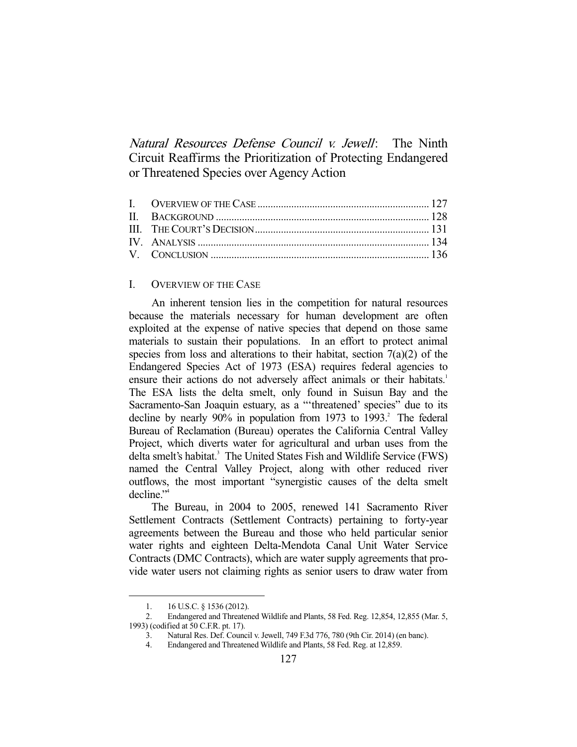Natural Resources Defense Council v. Jewell: The Ninth Circuit Reaffirms the Prioritization of Protecting Endangered or Threatened Species over Agency Action

## I. OVERVIEW OF THE CASE

 An inherent tension lies in the competition for natural resources because the materials necessary for human development are often exploited at the expense of native species that depend on those same materials to sustain their populations. In an effort to protect animal species from loss and alterations to their habitat, section  $7(a)(2)$  of the Endangered Species Act of 1973 (ESA) requires federal agencies to ensure their actions do not adversely affect animals or their habitats.<sup>1</sup> The ESA lists the delta smelt, only found in Suisun Bay and the Sacramento-San Joaquin estuary, as a "'threatened' species" due to its decline by nearly  $90\%$  in population from 1973 to 1993.<sup>2</sup> The federal Bureau of Reclamation (Bureau) operates the California Central Valley Project, which diverts water for agricultural and urban uses from the delta smelt's habitat.<sup>3</sup> The United States Fish and Wildlife Service (FWS) named the Central Valley Project, along with other reduced river outflows, the most important "synergistic causes of the delta smelt decline."4

 The Bureau, in 2004 to 2005, renewed 141 Sacramento River Settlement Contracts (Settlement Contracts) pertaining to forty-year agreements between the Bureau and those who held particular senior water rights and eighteen Delta-Mendota Canal Unit Water Service Contracts (DMC Contracts), which are water supply agreements that provide water users not claiming rights as senior users to draw water from

 <sup>1. 16</sup> U.S.C. § 1536 (2012).

 <sup>2.</sup> Endangered and Threatened Wildlife and Plants, 58 Fed. Reg. 12,854, 12,855 (Mar. 5, 1993) (codified at 50 C.F.R. pt. 17).

<sup>3.</sup> Natural Res. Def. Council v. Jewell, 749 F.3d 776, 780 (9th Cir. 2014) (en banc).<br>4. Endangered and Threatened Wildlife and Plants, 58 Fed. Reg. at 12,859.

 <sup>4.</sup> Endangered and Threatened Wildlife and Plants, 58 Fed. Reg. at 12,859.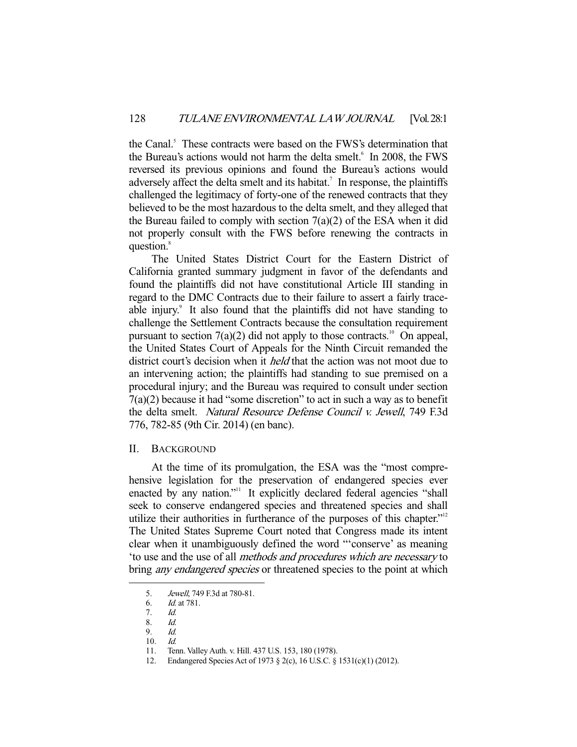the Canal.<sup>5</sup> These contracts were based on the FWS's determination that the Bureau's actions would not harm the delta smelt.<sup>6</sup> In 2008, the FWS reversed its previous opinions and found the Bureau's actions would adversely affect the delta smelt and its habitat.<sup>7</sup> In response, the plaintiffs challenged the legitimacy of forty-one of the renewed contracts that they believed to be the most hazardous to the delta smelt, and they alleged that the Bureau failed to comply with section  $7(a)(2)$  of the ESA when it did not properly consult with the FWS before renewing the contracts in question.<sup>8</sup>

 The United States District Court for the Eastern District of California granted summary judgment in favor of the defendants and found the plaintiffs did not have constitutional Article III standing in regard to the DMC Contracts due to their failure to assert a fairly traceable injury.<sup>9</sup> It also found that the plaintiffs did not have standing to challenge the Settlement Contracts because the consultation requirement pursuant to section  $7(a)(2)$  did not apply to those contracts.<sup>10</sup> On appeal, the United States Court of Appeals for the Ninth Circuit remanded the district court's decision when it *held* that the action was not moot due to an intervening action; the plaintiffs had standing to sue premised on a procedural injury; and the Bureau was required to consult under section 7(a)(2) because it had "some discretion" to act in such a way as to benefit the delta smelt. Natural Resource Defense Council v. Jewell, 749 F.3d 776, 782-85 (9th Cir. 2014) (en banc).

## II. BACKGROUND

 At the time of its promulgation, the ESA was the "most comprehensive legislation for the preservation of endangered species ever enacted by any nation."<sup>11</sup> It explicitly declared federal agencies "shall seek to conserve endangered species and threatened species and shall utilize their authorities in furtherance of the purposes of this chapter."<sup>12</sup> The United States Supreme Court noted that Congress made its intent clear when it unambiguously defined the word "'conserve' as meaning 'to use and the use of all methods and procedures which are necessary to bring *any endangered species* or threatened species to the point at which

 <sup>5.</sup> Jewell, 749 F.3d at 780-81.

 <sup>6.</sup> Id. at 781.

 <sup>7.</sup> Id.

<sup>8.</sup> *Id.*<br>9. *Id.* 

 <sup>9.</sup> Id.

 <sup>10.</sup> Id.

 <sup>11.</sup> Tenn. Valley Auth. v. Hill. 437 U.S. 153, 180 (1978).

 <sup>12.</sup> Endangered Species Act of 1973 § 2(c), 16 U.S.C. § 1531(c)(1) (2012).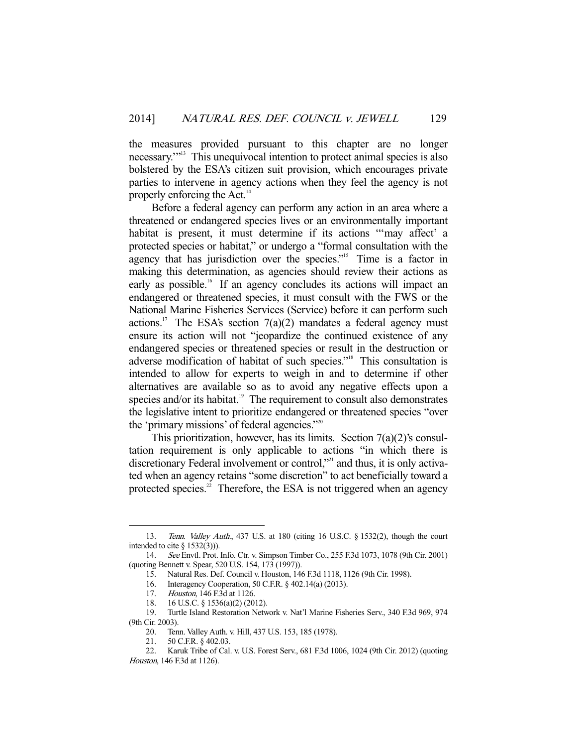the measures provided pursuant to this chapter are no longer necessary.'"13 This unequivocal intention to protect animal species is also bolstered by the ESA's citizen suit provision, which encourages private parties to intervene in agency actions when they feel the agency is not properly enforcing the Act.<sup>14</sup>

 Before a federal agency can perform any action in an area where a threatened or endangered species lives or an environmentally important habitat is present, it must determine if its actions "'may affect' a protected species or habitat," or undergo a "formal consultation with the agency that has jurisdiction over the species."<sup>15</sup> Time is a factor in making this determination, as agencies should review their actions as early as possible.<sup>16</sup> If an agency concludes its actions will impact an endangered or threatened species, it must consult with the FWS or the National Marine Fisheries Services (Service) before it can perform such actions.<sup>17</sup> The ESA's section  $7(a)(2)$  mandates a federal agency must ensure its action will not "jeopardize the continued existence of any endangered species or threatened species or result in the destruction or adverse modification of habitat of such species."18 This consultation is intended to allow for experts to weigh in and to determine if other alternatives are available so as to avoid any negative effects upon a species and/or its habitat.<sup>19</sup> The requirement to consult also demonstrates the legislative intent to prioritize endangered or threatened species "over the 'primary missions' of federal agencies."20

This prioritization, however, has its limits. Section  $7(a)(2)$ 's consultation requirement is only applicable to actions "in which there is discretionary Federal involvement or control,"<sup>21</sup> and thus, it is only activated when an agency retains "some discretion" to act beneficially toward a protected species. $2^2$  Therefore, the ESA is not triggered when an agency

 <sup>13.</sup> Tenn. Valley Auth., 437 U.S. at 180 (citing 16 U.S.C. § 1532(2), though the court intended to cite  $\S$  1532(3))).

 <sup>14.</sup> See Envtl. Prot. Info. Ctr. v. Simpson Timber Co., 255 F.3d 1073, 1078 (9th Cir. 2001) (quoting Bennett v. Spear, 520 U.S. 154, 173 (1997)).

 <sup>15.</sup> Natural Res. Def. Council v. Houston, 146 F.3d 1118, 1126 (9th Cir. 1998).

 <sup>16.</sup> Interagency Cooperation, 50 C.F.R. § 402.14(a) (2013).

 <sup>17.</sup> Houston, 146 F.3d at 1126.

 <sup>18. 16</sup> U.S.C. § 1536(a)(2) (2012).

 <sup>19.</sup> Turtle Island Restoration Network v. Nat'l Marine Fisheries Serv., 340 F.3d 969, 974 (9th Cir. 2003).

<sup>20.</sup> Tenn. Valley Auth. v. Hill, 437 U.S. 153, 185 (1978).<br>21. 50 C.F.R. § 402.03.

<sup>50</sup> C.F.R. § 402.03.

 <sup>22.</sup> Karuk Tribe of Cal. v. U.S. Forest Serv., 681 F.3d 1006, 1024 (9th Cir. 2012) (quoting Houston, 146 F.3d at 1126).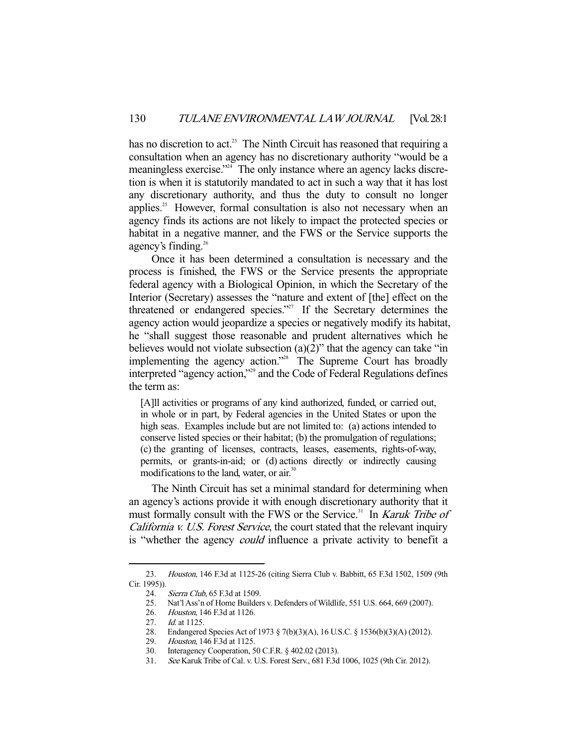has no discretion to act.<sup>23</sup> The Ninth Circuit has reasoned that requiring a consultation when an agency has no discretionary authority "would be a meaningless exercise."<sup>24</sup> The only instance where an agency lacks discretion is when it is statutorily mandated to act in such a way that it has lost any discretionary authority, and thus the duty to consult no longer applies.<sup>25</sup> However, formal consultation is also not necessary when an agency finds its actions are not likely to impact the protected species or habitat in a negative manner, and the FWS or the Service supports the agency's finding.<sup>26</sup>

 Once it has been determined a consultation is necessary and the process is finished, the FWS or the Service presents the appropriate federal agency with a Biological Opinion, in which the Secretary of the Interior (Secretary) assesses the "nature and extent of [the] effect on the threatened or endangered species."<sup>27</sup> If the Secretary determines the agency action would jeopardize a species or negatively modify its habitat, he "shall suggest those reasonable and prudent alternatives which he believes would not violate subsection  $(a)(2)$ " that the agency can take "in implementing the agency action."28 The Supreme Court has broadly interpreted "agency action,"29 and the Code of Federal Regulations defines the term as:

[A]ll activities or programs of any kind authorized, funded, or carried out, in whole or in part, by Federal agencies in the United States or upon the high seas. Examples include but are not limited to: (a) actions intended to conserve listed species or their habitat; (b) the promulgation of regulations; (c) the granting of licenses, contracts, leases, easements, rights-of-way, permits, or grants-in-aid; or (d) actions directly or indirectly causing modifications to the land, water, or air.<sup>30</sup>

 The Ninth Circuit has set a minimal standard for determining when an agency's actions provide it with enough discretionary authority that it must formally consult with the FWS or the Service.<sup>31</sup> In Karuk Tribe of California v. U.S. Forest Service, the court stated that the relevant inquiry is "whether the agency *could* influence a private activity to benefit a

 <sup>23.</sup> Houston, 146 F.3d at 1125-26 (citing Sierra Club v. Babbitt, 65 F.3d 1502, 1509 (9th Cir. 1995)).

<sup>24.</sup> *Sierra Club*, 65 F.3d at 1509.<br>25. Nat'l Ass'n of Home Builder 25. Nat'l Ass'n of Home Builders v. Defenders of Wildlife, 551 U.S. 664, 669 (2007).<br>26. Houston, 146 F.3d at 1126.

Houston, 146 F.3d at 1126.

<sup>27.</sup> *Id.* at 1125.

 <sup>28.</sup> Endangered Species Act of 1973 § 7(b)(3)(A), 16 U.S.C. § 1536(b)(3)(A) (2012).

 <sup>29.</sup> Houston, 146 F.3d at 1125.

 <sup>30.</sup> Interagency Cooperation, 50 C.F.R. § 402.02 (2013).

 <sup>31.</sup> See Karuk Tribe of Cal. v. U.S. Forest Serv., 681 F.3d 1006, 1025 (9th Cir. 2012).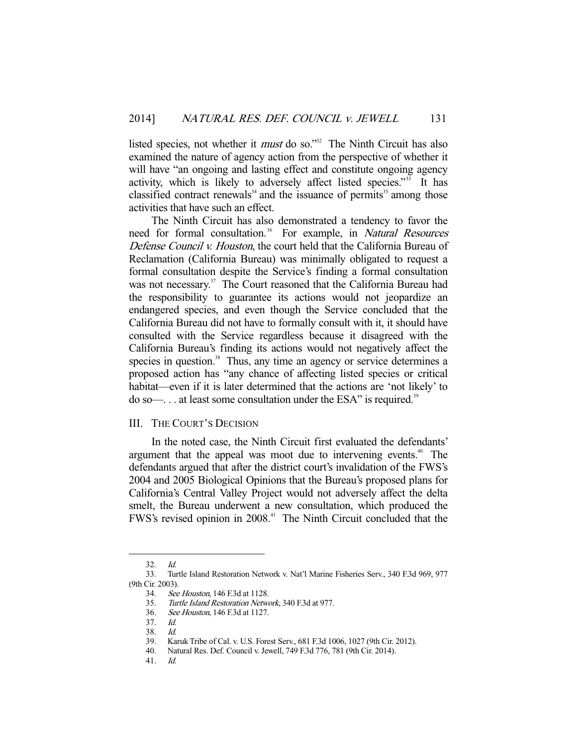listed species, not whether it must do so."32 The Ninth Circuit has also examined the nature of agency action from the perspective of whether it will have "an ongoing and lasting effect and constitute ongoing agency activity, which is likely to adversely affect listed species."<sup>33</sup> It has classified contract renewals<sup>34</sup> and the issuance of permits<sup>35</sup> among those activities that have such an effect.

 The Ninth Circuit has also demonstrated a tendency to favor the need for formal consultation.<sup>36</sup> For example, in Natural Resources Defense Council v. Houston, the court held that the California Bureau of Reclamation (California Bureau) was minimally obligated to request a formal consultation despite the Service's finding a formal consultation was not necessary.<sup>37</sup> The Court reasoned that the California Bureau had the responsibility to guarantee its actions would not jeopardize an endangered species, and even though the Service concluded that the California Bureau did not have to formally consult with it, it should have consulted with the Service regardless because it disagreed with the California Bureau's finding its actions would not negatively affect the species in question.<sup>38</sup> Thus, any time an agency or service determines a proposed action has "any chance of affecting listed species or critical habitat—even if it is later determined that the actions are 'not likely' to do so—. . . at least some consultation under the ESA" is required.39

## III. THE COURT'S DECISION

 In the noted case, the Ninth Circuit first evaluated the defendants' argument that the appeal was moot due to intervening events.<sup>40</sup> The defendants argued that after the district court's invalidation of the FWS's 2004 and 2005 Biological Opinions that the Bureau's proposed plans for California's Central Valley Project would not adversely affect the delta smelt, the Bureau underwent a new consultation, which produced the FWS's revised opinion in 2008.<sup>41</sup> The Ninth Circuit concluded that the

-

41. Id.

 <sup>32.</sup> Id.

 <sup>33.</sup> Turtle Island Restoration Network v. Nat'l Marine Fisheries Serv., 340 F.3d 969, 977 (9th Cir. 2003).

 <sup>34.</sup> See Houston, 146 F.3d at 1128.

 <sup>35.</sup> Turtle Island Restoration Network, 340 F.3d at 977.

 <sup>36.</sup> See Houston, 146 F.3d at 1127.

 <sup>37.</sup> Id.

 <sup>38.</sup> Id.

 <sup>39.</sup> Karuk Tribe of Cal. v. U.S. Forest Serv., 681 F.3d 1006, 1027 (9th Cir. 2012).

 <sup>40.</sup> Natural Res. Def. Council v. Jewell, 749 F.3d 776, 781 (9th Cir. 2014).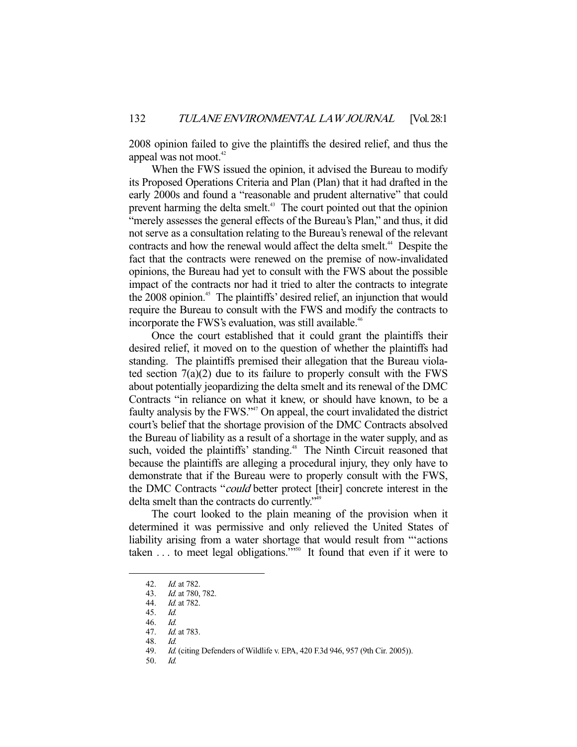2008 opinion failed to give the plaintiffs the desired relief, and thus the appeal was not moot.<sup>42</sup>

 When the FWS issued the opinion, it advised the Bureau to modify its Proposed Operations Criteria and Plan (Plan) that it had drafted in the early 2000s and found a "reasonable and prudent alternative" that could prevent harming the delta smelt.<sup>43</sup> The court pointed out that the opinion "merely assesses the general effects of the Bureau's Plan," and thus, it did not serve as a consultation relating to the Bureau's renewal of the relevant contracts and how the renewal would affect the delta smelt.<sup>44</sup> Despite the fact that the contracts were renewed on the premise of now-invalidated opinions, the Bureau had yet to consult with the FWS about the possible impact of the contracts nor had it tried to alter the contracts to integrate the 2008 opinion.<sup>45</sup> The plaintiffs' desired relief, an injunction that would require the Bureau to consult with the FWS and modify the contracts to incorporate the FWS's evaluation, was still available.<sup>46</sup>

 Once the court established that it could grant the plaintiffs their desired relief, it moved on to the question of whether the plaintiffs had standing. The plaintiffs premised their allegation that the Bureau violated section 7(a)(2) due to its failure to properly consult with the FWS about potentially jeopardizing the delta smelt and its renewal of the DMC Contracts "in reliance on what it knew, or should have known, to be a faulty analysis by the FWS."47 On appeal, the court invalidated the district court's belief that the shortage provision of the DMC Contracts absolved the Bureau of liability as a result of a shortage in the water supply, and as such, voided the plaintiffs' standing.<sup>48</sup> The Ninth Circuit reasoned that because the plaintiffs are alleging a procedural injury, they only have to demonstrate that if the Bureau were to properly consult with the FWS, the DMC Contracts "could better protect [their] concrete interest in the delta smelt than the contracts do currently."49

 The court looked to the plain meaning of the provision when it determined it was permissive and only relieved the United States of liability arising from a water shortage that would result from "'actions taken . . . to meet legal obligations."<sup>550</sup> It found that even if it were to

-

50. Id.

 <sup>42.</sup> Id. at 782.

 <sup>43.</sup> Id. at 780, 782.

 <sup>44.</sup> Id. at 782.

 <sup>45.</sup> Id.

 <sup>46.</sup> Id.

 <sup>47.</sup> Id. at 783.

 <sup>48.</sup> Id.

<sup>49.</sup> *Id.* (citing Defenders of Wildlife v. EPA, 420 F.3d 946, 957 (9th Cir. 2005)).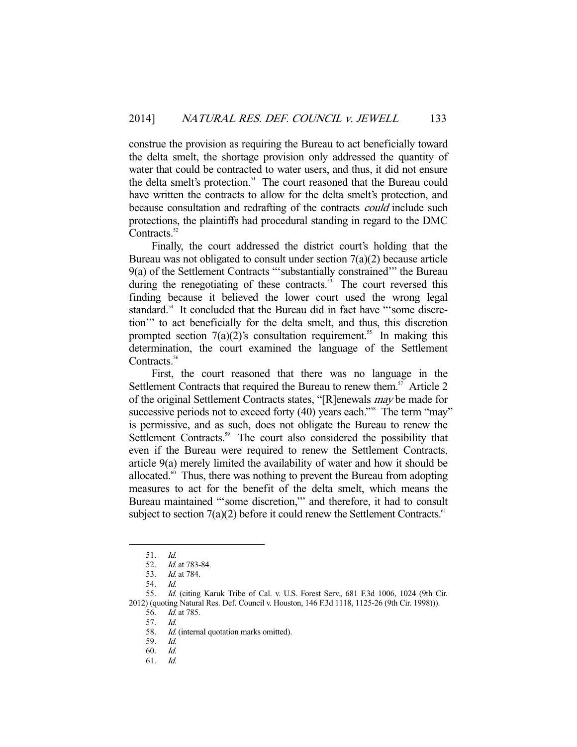construe the provision as requiring the Bureau to act beneficially toward the delta smelt, the shortage provision only addressed the quantity of water that could be contracted to water users, and thus, it did not ensure the delta smelt's protection.<sup>51</sup> The court reasoned that the Bureau could have written the contracts to allow for the delta smelt's protection, and because consultation and redrafting of the contracts could include such protections, the plaintiffs had procedural standing in regard to the DMC Contracts.<sup>52</sup>

 Finally, the court addressed the district court's holding that the Bureau was not obligated to consult under section  $7(a)(2)$  because article 9(a) of the Settlement Contracts "'substantially constrained'" the Bureau during the renegotiating of these contracts. $\frac{53}{10}$  The court reversed this finding because it believed the lower court used the wrong legal standard.<sup>54</sup> It concluded that the Bureau did in fact have "some discretion'" to act beneficially for the delta smelt, and thus, this discretion prompted section  $7(a)(2)$ 's consultation requirement.<sup>55</sup> In making this determination, the court examined the language of the Settlement Contracts.<sup>56</sup>

 First, the court reasoned that there was no language in the Settlement Contracts that required the Bureau to renew them.<sup>57</sup> Article 2 of the original Settlement Contracts states, "[R]enewals may be made for successive periods not to exceed forty (40) years each."<sup>58</sup> The term "may" is permissive, and as such, does not obligate the Bureau to renew the Settlement Contracts.<sup>59</sup> The court also considered the possibility that even if the Bureau were required to renew the Settlement Contracts, article 9(a) merely limited the availability of water and how it should be allocated.<sup>60</sup> Thus, there was nothing to prevent the Bureau from adopting measures to act for the benefit of the delta smelt, which means the Bureau maintained "'some discretion,'" and therefore, it had to consult subject to section  $7(a)(2)$  before it could renew the Settlement Contracts.<sup>61</sup>

 <sup>51.</sup> Id.

<sup>52.</sup> *Id.* at 783-84.

 <sup>53.</sup> Id. at 784.

 <sup>54.</sup> Id.

 <sup>55.</sup> Id. (citing Karuk Tribe of Cal. v. U.S. Forest Serv., 681 F.3d 1006, 1024 (9th Cir. 2012) (quoting Natural Res. Def. Council v. Houston, 146 F.3d 1118, 1125-26 (9th Cir. 1998))). 56. Id. at 785.

 <sup>57.</sup> Id.

<sup>58.</sup> Id. (internal quotation marks omitted).

 <sup>59.</sup> Id.

 <sup>60.</sup> Id.

 <sup>61.</sup> Id.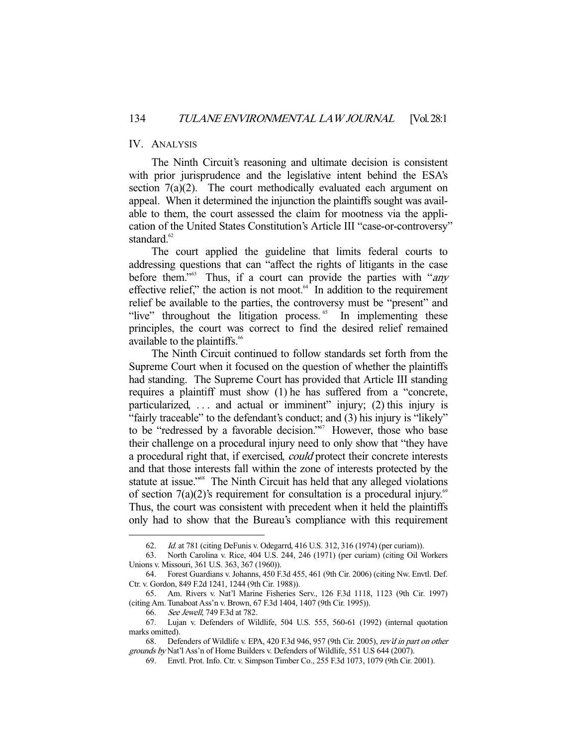#### IV. ANALYSIS

 The Ninth Circuit's reasoning and ultimate decision is consistent with prior jurisprudence and the legislative intent behind the ESA's section  $7(a)(2)$ . The court methodically evaluated each argument on appeal. When it determined the injunction the plaintiffs sought was available to them, the court assessed the claim for mootness via the application of the United States Constitution's Article III "case-or-controversy" standard.<sup>62</sup>

 The court applied the guideline that limits federal courts to addressing questions that can "affect the rights of litigants in the case before them."<sup>63</sup> Thus, if a court can provide the parties with "any effective relief," the action is not moot. $64$  In addition to the requirement relief be available to the parties, the controversy must be "present" and "live" throughout the litigation process.<sup>65</sup> In implementing these principles, the court was correct to find the desired relief remained available to the plaintiffs.<sup>66</sup>

 The Ninth Circuit continued to follow standards set forth from the Supreme Court when it focused on the question of whether the plaintiffs had standing. The Supreme Court has provided that Article III standing requires a plaintiff must show (1) he has suffered from a "concrete, particularized,  $\ldots$  and actual or imminent" injury; (2) this injury is "fairly traceable" to the defendant's conduct; and (3) his injury is "likely" to be "redressed by a favorable decision."<sup>67</sup> However, those who base their challenge on a procedural injury need to only show that "they have a procedural right that, if exercised, could protect their concrete interests and that those interests fall within the zone of interests protected by the statute at issue."<sup>68</sup> The Ninth Circuit has held that any alleged violations of section  $7(a)(2)$ 's requirement for consultation is a procedural injury.<sup>69</sup> Thus, the court was consistent with precedent when it held the plaintiffs only had to show that the Bureau's compliance with this requirement

 <sup>62.</sup> Id. at 781 (citing DeFunis v. Odegarrd, 416 U.S. 312, 316 (1974) (per curiam)).

 <sup>63.</sup> North Carolina v. Rice, 404 U.S. 244, 246 (1971) (per curiam) (citing Oil Workers Unions v. Missouri, 361 U.S. 363, 367 (1960)).

 <sup>64.</sup> Forest Guardians v. Johanns, 450 F.3d 455, 461 (9th Cir. 2006) (citing Nw. Envtl. Def. Ctr. v. Gordon, 849 F.2d 1241, 1244 (9th Cir. 1988)).

 <sup>65.</sup> Am. Rivers v. Nat'l Marine Fisheries Serv., 126 F.3d 1118, 1123 (9th Cir. 1997) (citing Am. Tunaboat Ass'n v. Brown, 67 F.3d 1404, 1407 (9th Cir. 1995)).

 <sup>66.</sup> See Jewell, 749 F.3d at 782.

 <sup>67.</sup> Lujan v. Defenders of Wildlife, 504 U.S. 555, 560-61 (1992) (internal quotation marks omitted).

<sup>68.</sup> Defenders of Wildlife v. EPA, 420 F.3d 946, 957 (9th Cir. 2005), rev'd in part on other grounds by Nat'l Ass'n of Home Builders v. Defenders of Wildlife, 551 U.S 644 (2007).

 <sup>69.</sup> Envtl. Prot. Info. Ctr. v. Simpson Timber Co., 255 F.3d 1073, 1079 (9th Cir. 2001).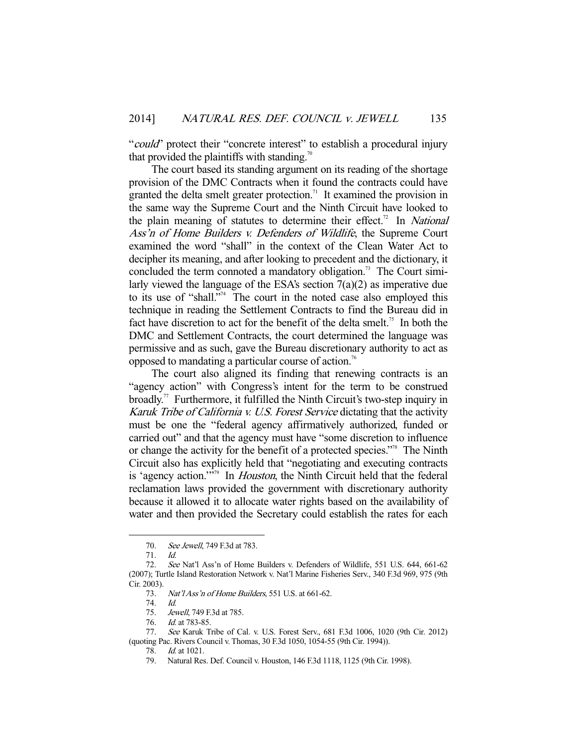"could" protect their "concrete interest" to establish a procedural injury that provided the plaintiffs with standing.<sup>70</sup>

 The court based its standing argument on its reading of the shortage provision of the DMC Contracts when it found the contracts could have granted the delta smelt greater protection.<sup>71</sup> It examined the provision in the same way the Supreme Court and the Ninth Circuit have looked to the plain meaning of statutes to determine their effect.<sup>72</sup> In National Ass'n of Home Builders v. Defenders of Wildlife, the Supreme Court examined the word "shall" in the context of the Clean Water Act to decipher its meaning, and after looking to precedent and the dictionary, it concluded the term connoted a mandatory obligation.<sup>73</sup> The Court similarly viewed the language of the ESA's section  $7(a)(2)$  as imperative due to its use of "shall."74 The court in the noted case also employed this technique in reading the Settlement Contracts to find the Bureau did in fact have discretion to act for the benefit of the delta smelt.<sup>75</sup> In both the DMC and Settlement Contracts, the court determined the language was permissive and as such, gave the Bureau discretionary authority to act as opposed to mandating a particular course of action.<sup>76</sup>

 The court also aligned its finding that renewing contracts is an "agency action" with Congress's intent for the term to be construed broadly.77 Furthermore, it fulfilled the Ninth Circuit's two-step inquiry in Karuk Tribe of California v. U.S. Forest Service dictating that the activity must be one the "federal agency affirmatively authorized, funded or carried out" and that the agency must have "some discretion to influence or change the activity for the benefit of a protected species."78 The Ninth Circuit also has explicitly held that "negotiating and executing contracts is 'agency action."<sup>79</sup> In *Houston*, the Ninth Circuit held that the federal reclamation laws provided the government with discretionary authority because it allowed it to allocate water rights based on the availability of water and then provided the Secretary could establish the rates for each

-

76. *Id.* at 783-85.

<sup>70.</sup> See Jewell, 749 F.3d at 783.

 <sup>71.</sup> Id.

 <sup>72.</sup> See Nat'l Ass'n of Home Builders v. Defenders of Wildlife, 551 U.S. 644, 661-62 (2007); Turtle Island Restoration Network v. Nat'l Marine Fisheries Serv., 340 F.3d 969, 975 (9th Cir. 2003).

<sup>73.</sup> Nat'l Ass'n of Home Builders, 551 U.S. at 661-62.

 <sup>74.</sup> Id.

<sup>75.</sup> *Jewell*, 749 F.3d at 785.

 <sup>77.</sup> See Karuk Tribe of Cal. v. U.S. Forest Serv., 681 F.3d 1006, 1020 (9th Cir. 2012) (quoting Pac. Rivers Council v. Thomas, 30 F.3d 1050, 1054-55 (9th Cir. 1994)).

<sup>78.</sup> *Id.* at 1021.

 <sup>79.</sup> Natural Res. Def. Council v. Houston, 146 F.3d 1118, 1125 (9th Cir. 1998).